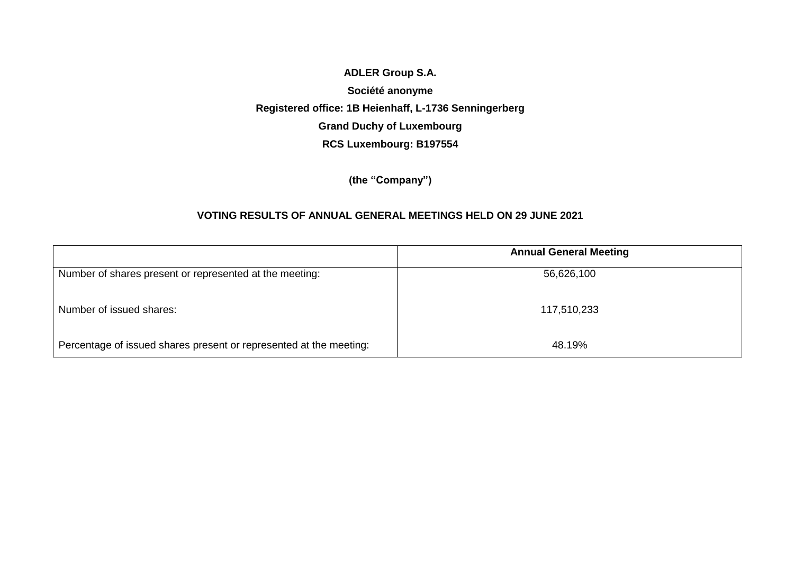## **ADLER Group S.A. Société anonyme Registered office: 1B Heienhaff, L-1736 Senningerberg Grand Duchy of Luxembourg RCS Luxembourg: B197554**

**(the "Company")**

## **VOTING RESULTS OF ANNUAL GENERAL MEETINGS HELD ON 29 JUNE 2021**

|                                                                    | <b>Annual General Meeting</b> |
|--------------------------------------------------------------------|-------------------------------|
| Number of shares present or represented at the meeting:            | 56,626,100                    |
| Number of issued shares:                                           | 117,510,233                   |
| Percentage of issued shares present or represented at the meeting: | 48.19%                        |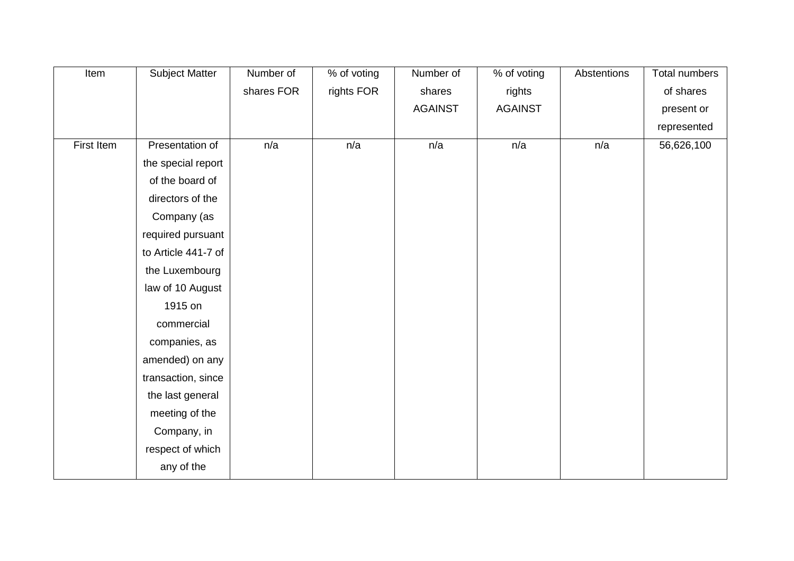| Item       | <b>Subject Matter</b> | Number of  | % of voting | Number of      | % of voting    | Abstentions | <b>Total numbers</b> |
|------------|-----------------------|------------|-------------|----------------|----------------|-------------|----------------------|
|            |                       | shares FOR | rights FOR  | shares         | rights         |             | of shares            |
|            |                       |            |             | <b>AGAINST</b> | <b>AGAINST</b> |             | present or           |
|            |                       |            |             |                |                |             | represented          |
| First Item | Presentation of       | n/a        | n/a         | n/a            | n/a            | n/a         | 56,626,100           |
|            | the special report    |            |             |                |                |             |                      |
|            | of the board of       |            |             |                |                |             |                      |
|            | directors of the      |            |             |                |                |             |                      |
|            | Company (as           |            |             |                |                |             |                      |
|            | required pursuant     |            |             |                |                |             |                      |
|            | to Article 441-7 of   |            |             |                |                |             |                      |
|            | the Luxembourg        |            |             |                |                |             |                      |
|            | law of 10 August      |            |             |                |                |             |                      |
|            | 1915 on               |            |             |                |                |             |                      |
|            | commercial            |            |             |                |                |             |                      |
|            | companies, as         |            |             |                |                |             |                      |
|            | amended) on any       |            |             |                |                |             |                      |
|            | transaction, since    |            |             |                |                |             |                      |
|            | the last general      |            |             |                |                |             |                      |
|            | meeting of the        |            |             |                |                |             |                      |
|            | Company, in           |            |             |                |                |             |                      |
|            | respect of which      |            |             |                |                |             |                      |
|            | any of the            |            |             |                |                |             |                      |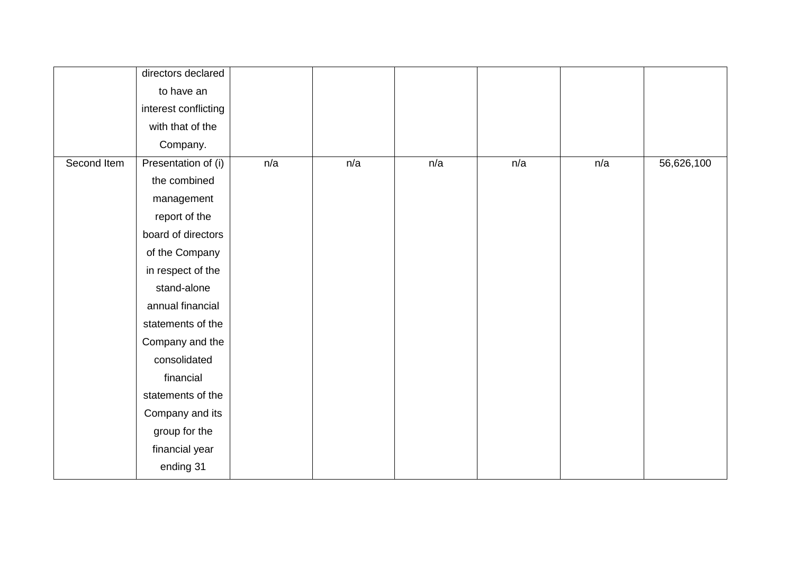|             | directors declared   |     |     |     |     |     |            |
|-------------|----------------------|-----|-----|-----|-----|-----|------------|
|             | to have an           |     |     |     |     |     |            |
|             | interest conflicting |     |     |     |     |     |            |
|             | with that of the     |     |     |     |     |     |            |
|             | Company.             |     |     |     |     |     |            |
| Second Item | Presentation of (i)  | n/a | n/a | n/a | n/a | n/a | 56,626,100 |
|             | the combined         |     |     |     |     |     |            |
|             | management           |     |     |     |     |     |            |
|             | report of the        |     |     |     |     |     |            |
|             | board of directors   |     |     |     |     |     |            |
|             | of the Company       |     |     |     |     |     |            |
|             | in respect of the    |     |     |     |     |     |            |
|             | stand-alone          |     |     |     |     |     |            |
|             | annual financial     |     |     |     |     |     |            |
|             | statements of the    |     |     |     |     |     |            |
|             | Company and the      |     |     |     |     |     |            |
|             | consolidated         |     |     |     |     |     |            |
|             | financial            |     |     |     |     |     |            |
|             | statements of the    |     |     |     |     |     |            |
|             | Company and its      |     |     |     |     |     |            |
|             | group for the        |     |     |     |     |     |            |
|             | financial year       |     |     |     |     |     |            |
|             | ending 31            |     |     |     |     |     |            |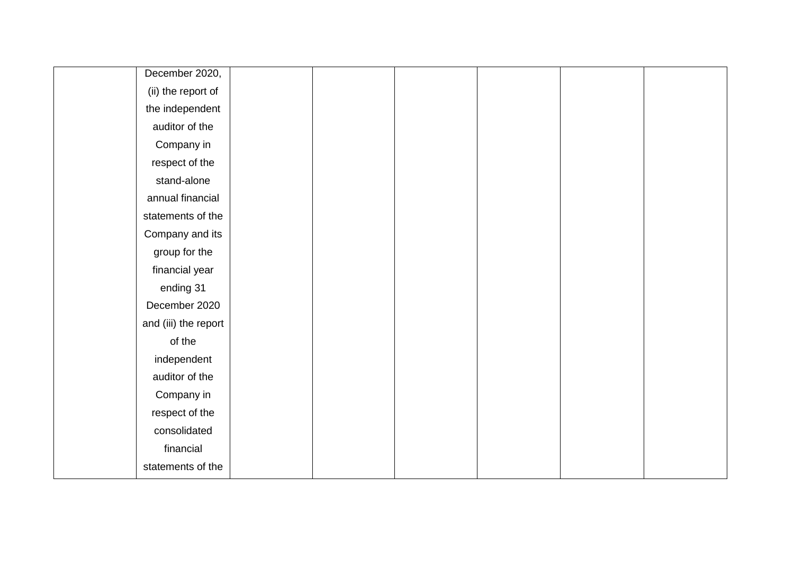| December 2020,       |  |  |  |
|----------------------|--|--|--|
| (ii) the report of   |  |  |  |
| the independent      |  |  |  |
| auditor of the       |  |  |  |
| Company in           |  |  |  |
| respect of the       |  |  |  |
| stand-alone          |  |  |  |
| annual financial     |  |  |  |
| statements of the    |  |  |  |
| Company and its      |  |  |  |
| group for the        |  |  |  |
| financial year       |  |  |  |
| ending 31            |  |  |  |
| December 2020        |  |  |  |
| and (iii) the report |  |  |  |
| of the               |  |  |  |
| independent          |  |  |  |
| auditor of the       |  |  |  |
| Company in           |  |  |  |
| respect of the       |  |  |  |
| consolidated         |  |  |  |
| financial            |  |  |  |
| statements of the    |  |  |  |
|                      |  |  |  |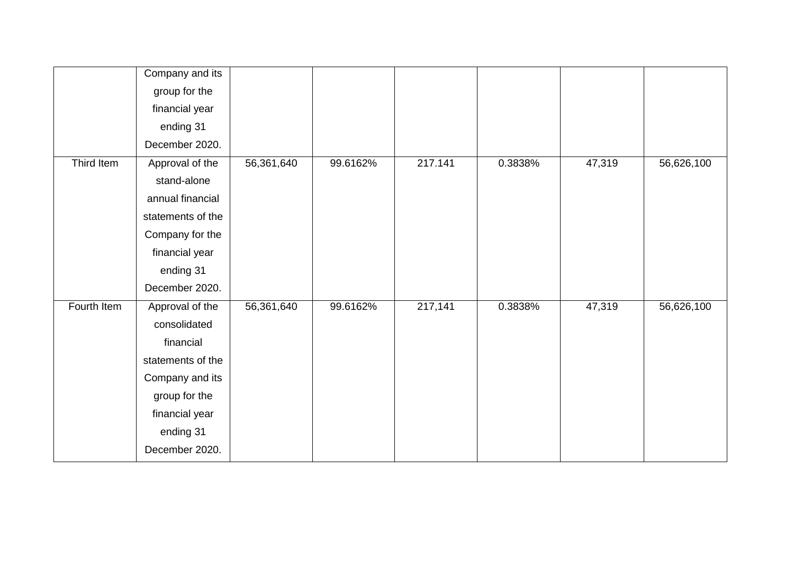|             | Company and its   |            |          |         |         |        |            |
|-------------|-------------------|------------|----------|---------|---------|--------|------------|
|             | group for the     |            |          |         |         |        |            |
|             | financial year    |            |          |         |         |        |            |
|             | ending 31         |            |          |         |         |        |            |
|             | December 2020.    |            |          |         |         |        |            |
| Third Item  | Approval of the   | 56,361,640 | 99.6162% | 217.141 | 0.3838% | 47,319 | 56,626,100 |
|             | stand-alone       |            |          |         |         |        |            |
|             | annual financial  |            |          |         |         |        |            |
|             | statements of the |            |          |         |         |        |            |
|             | Company for the   |            |          |         |         |        |            |
|             | financial year    |            |          |         |         |        |            |
|             | ending 31         |            |          |         |         |        |            |
|             | December 2020.    |            |          |         |         |        |            |
| Fourth Item | Approval of the   | 56,361,640 | 99.6162% | 217,141 | 0.3838% | 47,319 | 56,626,100 |
|             | consolidated      |            |          |         |         |        |            |
|             | financial         |            |          |         |         |        |            |
|             | statements of the |            |          |         |         |        |            |
|             | Company and its   |            |          |         |         |        |            |
|             | group for the     |            |          |         |         |        |            |
|             | financial year    |            |          |         |         |        |            |
|             | ending 31         |            |          |         |         |        |            |
|             | December 2020.    |            |          |         |         |        |            |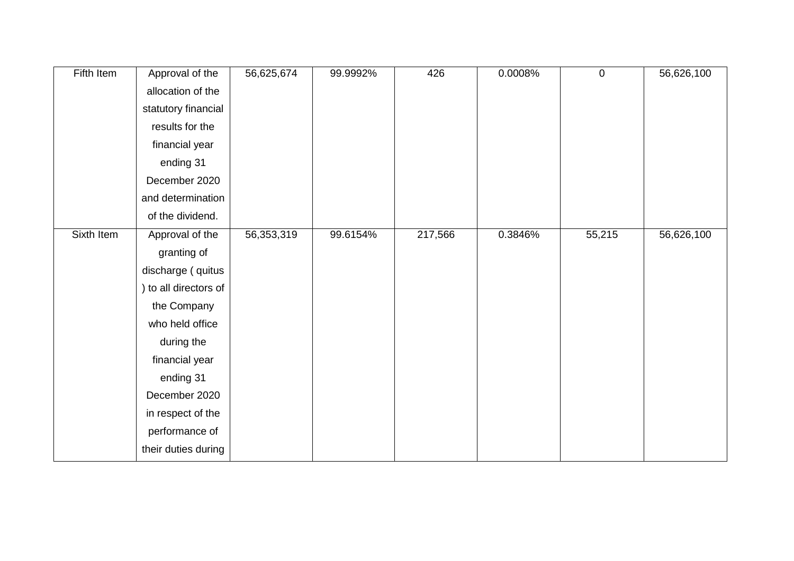| Fifth Item | Approval of the     | 56,625,674 | 99.9992% | 426     | 0.0008% | $\pmb{0}$ | 56,626,100 |
|------------|---------------------|------------|----------|---------|---------|-----------|------------|
|            | allocation of the   |            |          |         |         |           |            |
|            | statutory financial |            |          |         |         |           |            |
|            | results for the     |            |          |         |         |           |            |
|            | financial year      |            |          |         |         |           |            |
|            | ending 31           |            |          |         |         |           |            |
|            | December 2020       |            |          |         |         |           |            |
|            | and determination   |            |          |         |         |           |            |
|            | of the dividend.    |            |          |         |         |           |            |
| Sixth Item | Approval of the     | 56,353,319 | 99.6154% | 217,566 | 0.3846% | 55,215    | 56,626,100 |
|            | granting of         |            |          |         |         |           |            |
|            | discharge ( quitus  |            |          |         |         |           |            |
|            | to all directors of |            |          |         |         |           |            |
|            | the Company         |            |          |         |         |           |            |
|            | who held office     |            |          |         |         |           |            |
|            | during the          |            |          |         |         |           |            |
|            | financial year      |            |          |         |         |           |            |
|            | ending 31           |            |          |         |         |           |            |
|            | December 2020       |            |          |         |         |           |            |
|            | in respect of the   |            |          |         |         |           |            |
|            | performance of      |            |          |         |         |           |            |
|            | their duties during |            |          |         |         |           |            |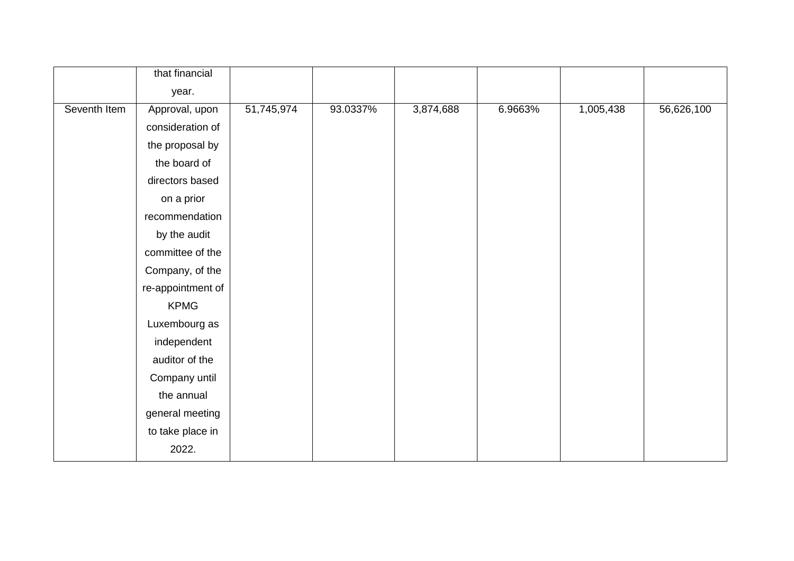|              | that financial    |            |          |           |         |           |            |
|--------------|-------------------|------------|----------|-----------|---------|-----------|------------|
|              | year.             |            |          |           |         |           |            |
| Seventh Item | Approval, upon    | 51,745,974 | 93.0337% | 3,874,688 | 6.9663% | 1,005,438 | 56,626,100 |
|              | consideration of  |            |          |           |         |           |            |
|              | the proposal by   |            |          |           |         |           |            |
|              | the board of      |            |          |           |         |           |            |
|              | directors based   |            |          |           |         |           |            |
|              | on a prior        |            |          |           |         |           |            |
|              | recommendation    |            |          |           |         |           |            |
|              | by the audit      |            |          |           |         |           |            |
|              | committee of the  |            |          |           |         |           |            |
|              | Company, of the   |            |          |           |         |           |            |
|              | re-appointment of |            |          |           |         |           |            |
|              | <b>KPMG</b>       |            |          |           |         |           |            |
|              | Luxembourg as     |            |          |           |         |           |            |
|              | independent       |            |          |           |         |           |            |
|              | auditor of the    |            |          |           |         |           |            |
|              | Company until     |            |          |           |         |           |            |
|              | the annual        |            |          |           |         |           |            |
|              | general meeting   |            |          |           |         |           |            |
|              | to take place in  |            |          |           |         |           |            |
|              | 2022.             |            |          |           |         |           |            |